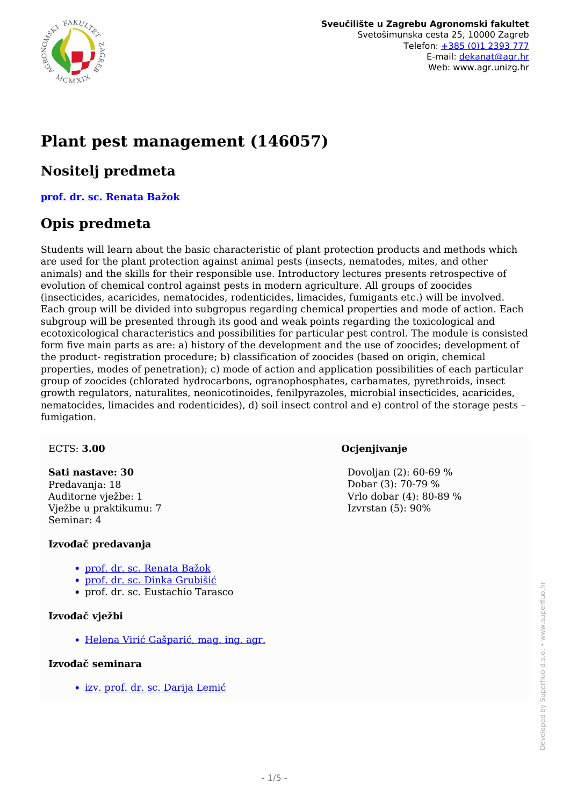

# **Plant pest management (146057)**

### **Nositelj predmeta**

**[prof. dr. sc. Renata Bažok](/hr/member/7)**

### **Opis predmeta**

Students will learn about the basic characteristic of plant protection products and methods which are used for the plant protection against animal pests (insects, nematodes, mites, and other animals) and the skills for their responsible use. Introductory lectures presents retrospective of evolution of chemical control against pests in modern agriculture. All groups of zoocides (insecticides, acaricides, nematocides, rodenticides, limacides, fumigants etc.) will be involved. Each group will be divided into subgropus regarding chemical properties and mode of action. Each subgroup will be presented through its good and weak points regarding the toxicological and ecotoxicological characteristics and possibilities for particular pest control. The module is consisted form five main parts as are: a) history of the development and the use of zoocides; development of the product- registration procedure; b) classification of zoocides (based on origin, chemical properties, modes of penetration); c) mode of action and application possibilities of each particular group of zoocides (chlorated hydrocarbons, ogranophosphates, carbamates, pyrethroids, insect growth regulators, naturalites, neonicotinoides, fenilpyrazoles, microbial insecticides, acaricides, nematocides, limacides and rodenticides), d) soil insect control and e) control of the storage pests – fumigation.

#### ECTS: **3.00**

#### **Sati nastave: 30**

Predavanja: 18 Auditorne vježbe: 1 Vježbe u praktikumu: 7 Seminar: 4

#### **Izvođač predavanja**

- [prof. dr. sc. Renata Bažok](/hr/member/7)
- [prof. dr. sc. Dinka Grubišić](/hr/member/70)
- prof. dr. sc. Eustachio Tarasco

#### **Izvođač vježbi**

[Helena Virić Gašparić, mag. ing. agr.](/hr/member/346)

#### **Izvođač seminara**

[izv. prof. dr. sc. Darija Lemić](/hr/member/206)

#### **Ocjenjivanje**

 Dovoljan (2): 60-69 % Dobar (3): 70-79 % Vrlo dobar (4): 80-89 % Izvrstan (5): 90%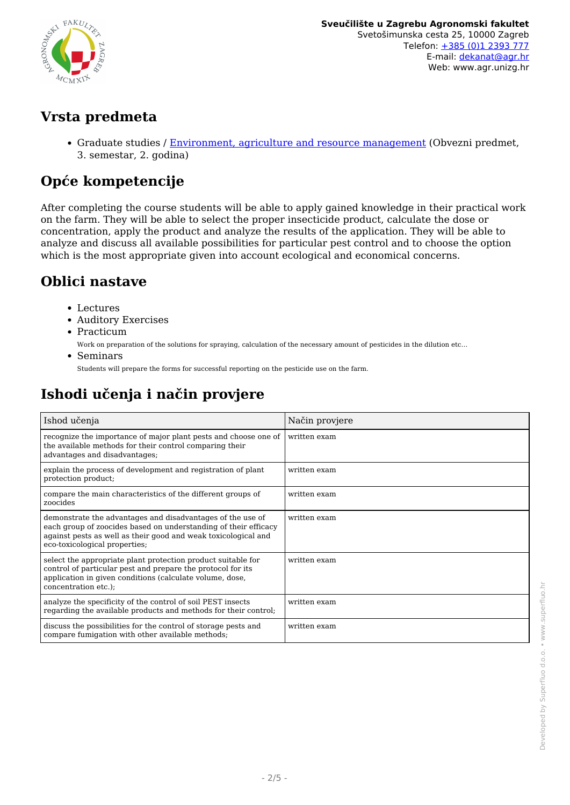

### **Vrsta predmeta**

• Graduate studies / [Environment, agriculture and resource management](/hr/study/en/3/Environment%2C+agriculture+and+resource+management) (Obvezni predmet, 3. semestar, 2. godina)

# **Opće kompetencije**

After completing the course students will be able to apply gained knowledge in their practical work on the farm. They will be able to select the proper insecticide product, calculate the dose or concentration, apply the product and analyze the results of the application. They will be able to analyze and discuss all available possibilities for particular pest control and to choose the option which is the most appropriate given into account ecological and economical concerns.

# **Oblici nastave**

- Lectures
- Auditory Exercises
- Practicum

Work on preparation of the solutions for spraying, calculation of the necessary amount of pesticides in the dilution etc…

Seminars

Students will prepare the forms for successful reporting on the pesticide use on the farm.

# **Ishodi učenja i način provjere**

| Ishod učenja                                                                                                                                                                                                                     | Način provjere |
|----------------------------------------------------------------------------------------------------------------------------------------------------------------------------------------------------------------------------------|----------------|
| recognize the importance of major plant pests and choose one of<br>the available methods for their control comparing their<br>advantages and disadvantages;                                                                      | written exam   |
| explain the process of development and registration of plant<br>protection product;                                                                                                                                              | written exam   |
| compare the main characteristics of the different groups of<br>zoocides                                                                                                                                                          | written exam   |
| demonstrate the advantages and disadvantages of the use of<br>each group of zoocides based on understanding of their efficacy<br>against pests as well as their good and weak toxicological and<br>eco-toxicological properties; | written exam   |
| select the appropriate plant protection product suitable for<br>control of particular pest and prepare the protocol for its<br>application in given conditions (calculate volume, dose,<br>concentration etc.);                  | written exam   |
| analyze the specificity of the control of soil PEST insects<br>regarding the available products and methods for their control;                                                                                                   | written exam   |
| discuss the possibilities for the control of storage pests and<br>compare fumigation with other available methods;                                                                                                               | written exam   |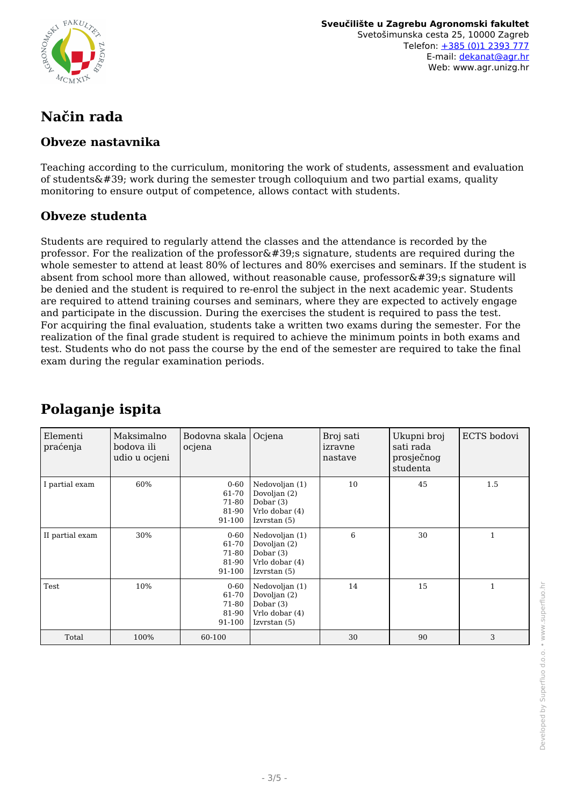

**Sveučilište u Zagrebu Agronomski fakultet** Svetošimunska cesta 25, 10000 Zagreb Telefon: [+385 \(0\)1 2393 777](tel:+38512393777) E-mail: [dekanat@agr.hr](mailto:dekanat@agr.hr) Web: www.agr.unizg.hr

# **Način rada**

### **Obveze nastavnika**

Teaching according to the curriculum, monitoring the work of students, assessment and evaluation of students $\&\#39$ ; work during the semester trough colloquium and two partial exams, quality monitoring to ensure output of competence, allows contact with students.

### **Obveze studenta**

Students are required to regularly attend the classes and the attendance is recorded by the professor. For the realization of the professor  $\&\#39$ ; signature, students are required during the whole semester to attend at least 80% of lectures and 80% exercises and seminars. If the student is absent from school more than allowed, without reasonable cause, professor $\&\#39$ ; signature will be denied and the student is required to re-enrol the subject in the next academic year. Students are required to attend training courses and seminars, where they are expected to actively engage and participate in the discussion. During the exercises the student is required to pass the test. For acquiring the final evaluation, students take a written two exams during the semester. For the realization of the final grade student is required to achieve the minimum points in both exams and test. Students who do not pass the course by the end of the semester are required to take the final exam during the regular examination periods.

| Elementi<br>praćenja | Maksimalno<br>bodova ili<br>udio u ocjeni | Bodovna skala<br>ocjena                       | Ocjena                                                                            | Broj sati<br>izravne<br>nastave | Ukupni broj<br>sati rada<br>prosječnog<br>studenta | ECTS bodovi  |
|----------------------|-------------------------------------------|-----------------------------------------------|-----------------------------------------------------------------------------------|---------------------------------|----------------------------------------------------|--------------|
| I partial exam       | 60%                                       | $0 - 60$<br>61-70<br>71-80<br>81-90<br>91-100 | Nedovoljan (1)<br>Dovoljan (2)<br>Dobar $(3)$<br>Vrlo dobar (4)<br>Izvrstan (5)   | 10                              | 45                                                 | 1.5          |
| II partial exam      | 30%                                       | $0 - 60$<br>61-70<br>71-80<br>81-90<br>91-100 | Nedovoljan (1)<br>Dovoljan (2)<br>Dobar $(3)$<br>Vrlo dobar (4)<br>Izvrstan $(5)$ | 6                               | 30                                                 | $\mathbf{1}$ |
| Test                 | 10%                                       | $0 - 60$<br>61-70<br>71-80<br>81-90<br>91-100 | Nedovoljan (1)<br>Dovoljan (2)<br>Dobar $(3)$<br>Vrlo dobar (4)<br>Izvrstan $(5)$ | 14                              | 15                                                 | $\mathbf{1}$ |
| Total                | 100%                                      | 60-100                                        |                                                                                   | 30                              | 90                                                 | 3            |

# **Polaganje ispita**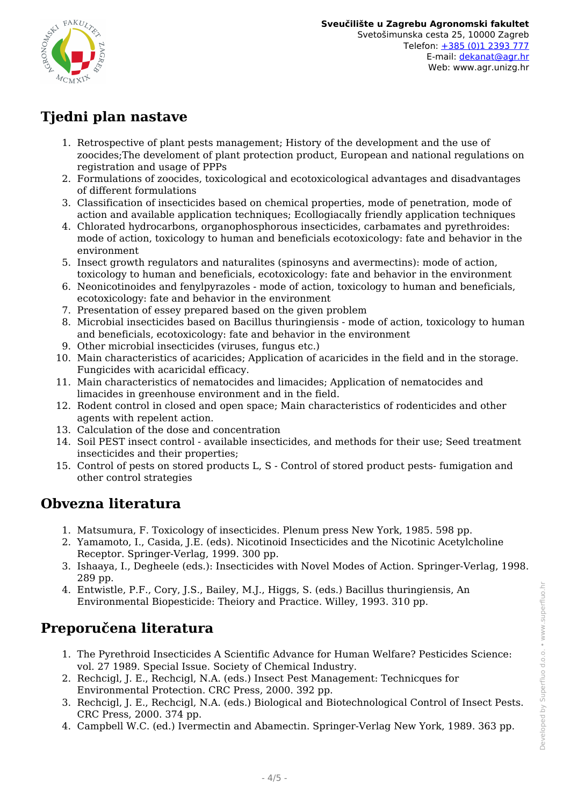

# **Tjedni plan nastave**

- 1. Retrospective of plant pests management; History of the development and the use of zoocides;The develoment of plant protection product, European and national regulations on registration and usage of PPPs
- 2. Formulations of zoocides, toxicological and ecotoxicological advantages and disadvantages of different formulations
- 3. Classification of insecticides based on chemical properties, mode of penetration, mode of action and available application techniques; Ecollogiacally friendly application techniques
- 4. Chlorated hydrocarbons, organophosphorous insecticides, carbamates and pyrethroides: mode of action, toxicology to human and beneficials ecotoxicology: fate and behavior in the environment
- 5. Insect growth regulators and naturalites (spinosyns and avermectins): mode of action, toxicology to human and beneficials, ecotoxicology: fate and behavior in the environment
- 6. Neonicotinoides and fenylpyrazoles mode of action, toxicology to human and beneficials, ecotoxicology: fate and behavior in the environment
- 7. Presentation of essey prepared based on the given problem
- 8. Microbial insecticides based on Bacillus thuringiensis mode of action, toxicology to human and beneficials, ecotoxicology: fate and behavior in the environment
- 9. Other microbial insecticides (viruses, fungus etc.)
- 10. Main characteristics of acaricides; Application of acaricides in the field and in the storage. Fungicides with acaricidal efficacy.
- 11. Main characteristics of nematocides and limacides; Application of nematocides and limacides in greenhouse environment and in the field.
- 12. Rodent control in closed and open space; Main characteristics of rodenticides and other agents with repelent action.
- 13. Calculation of the dose and concentration
- 14. Soil PEST insect control available insecticides, and methods for their use; Seed treatment insecticides and their properties;
- 15. Control of pests on stored products L, S Control of stored product pests- fumigation and other control strategies

### **Obvezna literatura**

- 1. Matsumura, F. Toxicology of insecticides. Plenum press New York, 1985. 598 pp.
- 2. Yamamoto, I., Casida, J.E. (eds). Nicotinoid Insecticides and the Nicotinic Acetylcholine Receptor. Springer-Verlag, 1999. 300 pp.
- 3. Ishaaya, I., Degheele (eds.): Insecticides with Novel Modes of Action. Springer-Verlag, 1998. 289 pp.
- 4. Entwistle, P.F., Cory, J.S., Bailey, M.J., Higgs, S. (eds.) Bacillus thuringiensis, An Environmental Biopesticide: Theiory and Practice. Willey, 1993. 310 pp.

# **Preporučena literatura**

- 1. The Pyrethroid Insecticides A Scientific Advance for Human Welfare? Pesticides Science: vol. 27 1989. Special Issue. Society of Chemical Industry.
- 2. Rechcigl, J. E., Rechcigl, N.A. (eds.) Insect Pest Management: Technicques for Environmental Protection. CRC Press, 2000. 392 pp.
- 3. Rechcigl, J. E., Rechcigl, N.A. (eds.) Biological and Biotechnological Control of Insect Pests. CRC Press, 2000. 374 pp.
- 4. Campbell W.C. (ed.) Ivermectin and Abamectin. Springer-Verlag New York, 1989. 363 pp.